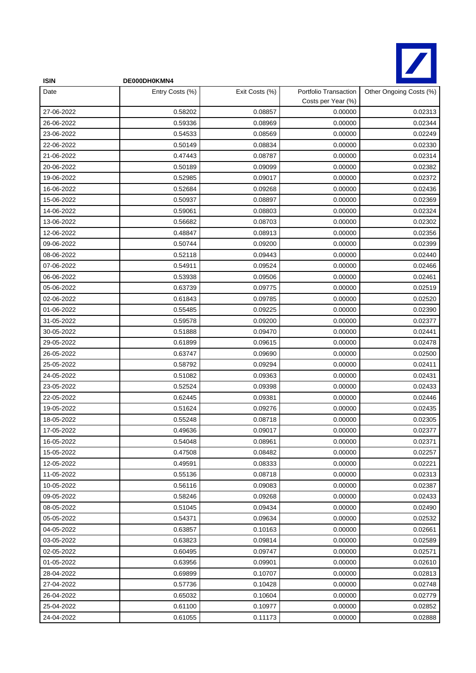

| <b>ISIN</b> | DE000DH0KMN4    |                |                                             |                         |
|-------------|-----------------|----------------|---------------------------------------------|-------------------------|
| Date        | Entry Costs (%) | Exit Costs (%) | Portfolio Transaction<br>Costs per Year (%) | Other Ongoing Costs (%) |
| 27-06-2022  | 0.58202         | 0.08857        | 0.00000                                     | 0.02313                 |
| 26-06-2022  | 0.59336         | 0.08969        | 0.00000                                     | 0.02344                 |
| 23-06-2022  | 0.54533         | 0.08569        | 0.00000                                     | 0.02249                 |
| 22-06-2022  | 0.50149         | 0.08834        | 0.00000                                     | 0.02330                 |
| 21-06-2022  | 0.47443         | 0.08787        | 0.00000                                     | 0.02314                 |
| 20-06-2022  | 0.50189         | 0.09099        | 0.00000                                     | 0.02382                 |
| 19-06-2022  | 0.52985         | 0.09017        | 0.00000                                     | 0.02372                 |
| 16-06-2022  | 0.52684         | 0.09268        | 0.00000                                     | 0.02436                 |
| 15-06-2022  | 0.50937         | 0.08897        | 0.00000                                     | 0.02369                 |
| 14-06-2022  | 0.59061         | 0.08803        | 0.00000                                     | 0.02324                 |
| 13-06-2022  | 0.56682         | 0.08703        | 0.00000                                     | 0.02302                 |
| 12-06-2022  | 0.48847         | 0.08913        | 0.00000                                     | 0.02356                 |
| 09-06-2022  | 0.50744         | 0.09200        | 0.00000                                     | 0.02399                 |
| 08-06-2022  | 0.52118         | 0.09443        | 0.00000                                     | 0.02440                 |
| 07-06-2022  | 0.54911         | 0.09524        | 0.00000                                     | 0.02466                 |
| 06-06-2022  | 0.53938         | 0.09506        | 0.00000                                     | 0.02461                 |
| 05-06-2022  | 0.63739         | 0.09775        | 0.00000                                     | 0.02519                 |
| 02-06-2022  | 0.61843         | 0.09785        | 0.00000                                     | 0.02520                 |
| 01-06-2022  | 0.55485         | 0.09225        | 0.00000                                     | 0.02390                 |
| 31-05-2022  | 0.59578         | 0.09200        | 0.00000                                     | 0.02377                 |
| 30-05-2022  | 0.51888         | 0.09470        | 0.00000                                     | 0.02441                 |
| 29-05-2022  | 0.61899         | 0.09615        | 0.00000                                     | 0.02478                 |
| 26-05-2022  | 0.63747         | 0.09690        | 0.00000                                     | 0.02500                 |
| 25-05-2022  | 0.58792         | 0.09294        | 0.00000                                     | 0.02411                 |
| 24-05-2022  | 0.51082         | 0.09363        | 0.00000                                     | 0.02431                 |
| 23-05-2022  | 0.52524         | 0.09398        | 0.00000                                     | 0.02433                 |
| 22-05-2022  | 0.62445         | 0.09381        | 0.00000                                     | 0.02446                 |
| 19-05-2022  | 0.51624         | 0.09276        | 0.00000                                     | 0.02435                 |
| 18-05-2022  | 0.55248         | 0.08718        | 0.00000                                     | 0.02305                 |
| 17-05-2022  | 0.49636         | 0.09017        | 0.00000                                     | 0.02377                 |
| 16-05-2022  | 0.54048         | 0.08961        | 0.00000                                     | 0.02371                 |
| 15-05-2022  | 0.47508         | 0.08482        | 0.00000                                     | 0.02257                 |
| 12-05-2022  | 0.49591         | 0.08333        | 0.00000                                     | 0.02221                 |
| 11-05-2022  | 0.55136         | 0.08718        | 0.00000                                     | 0.02313                 |
| 10-05-2022  | 0.56116         | 0.09083        | 0.00000                                     | 0.02387                 |
| 09-05-2022  | 0.58246         | 0.09268        | 0.00000                                     | 0.02433                 |
| 08-05-2022  | 0.51045         | 0.09434        | 0.00000                                     | 0.02490                 |
| 05-05-2022  | 0.54371         | 0.09634        | 0.00000                                     | 0.02532                 |
| 04-05-2022  | 0.63857         | 0.10163        | 0.00000                                     | 0.02661                 |
| 03-05-2022  | 0.63823         | 0.09814        | 0.00000                                     | 0.02589                 |
| 02-05-2022  | 0.60495         | 0.09747        | 0.00000                                     | 0.02571                 |
| 01-05-2022  | 0.63956         | 0.09901        | 0.00000                                     | 0.02610                 |
| 28-04-2022  | 0.69899         | 0.10707        | 0.00000                                     | 0.02813                 |
| 27-04-2022  | 0.57736         | 0.10428        | 0.00000                                     | 0.02748                 |
| 26-04-2022  | 0.65032         | 0.10604        | 0.00000                                     | 0.02779                 |
| 25-04-2022  | 0.61100         | 0.10977        | 0.00000                                     | 0.02852                 |
| 24-04-2022  | 0.61055         | 0.11173        | 0.00000                                     | 0.02888                 |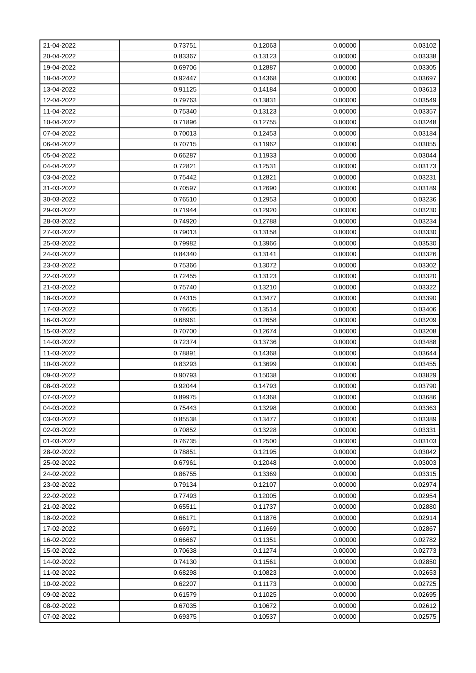| 21-04-2022 | 0.73751 | 0.12063 | 0.00000 | 0.03102 |
|------------|---------|---------|---------|---------|
| 20-04-2022 | 0.83367 | 0.13123 | 0.00000 | 0.03338 |
| 19-04-2022 | 0.69706 | 0.12887 | 0.00000 | 0.03305 |
| 18-04-2022 | 0.92447 | 0.14368 | 0.00000 | 0.03697 |
| 13-04-2022 | 0.91125 | 0.14184 | 0.00000 | 0.03613 |
| 12-04-2022 | 0.79763 | 0.13831 | 0.00000 | 0.03549 |
| 11-04-2022 | 0.75340 | 0.13123 | 0.00000 | 0.03357 |
| 10-04-2022 | 0.71896 | 0.12755 | 0.00000 | 0.03248 |
| 07-04-2022 | 0.70013 | 0.12453 | 0.00000 | 0.03184 |
| 06-04-2022 | 0.70715 | 0.11962 | 0.00000 | 0.03055 |
| 05-04-2022 | 0.66287 | 0.11933 | 0.00000 | 0.03044 |
| 04-04-2022 | 0.72821 | 0.12531 | 0.00000 | 0.03173 |
| 03-04-2022 | 0.75442 | 0.12821 | 0.00000 | 0.03231 |
| 31-03-2022 | 0.70597 | 0.12690 | 0.00000 | 0.03189 |
| 30-03-2022 | 0.76510 | 0.12953 | 0.00000 | 0.03236 |
| 29-03-2022 | 0.71944 | 0.12920 | 0.00000 | 0.03230 |
| 28-03-2022 | 0.74920 | 0.12788 | 0.00000 | 0.03234 |
| 27-03-2022 | 0.79013 | 0.13158 | 0.00000 | 0.03330 |
| 25-03-2022 | 0.79982 | 0.13966 | 0.00000 | 0.03530 |
| 24-03-2022 | 0.84340 | 0.13141 | 0.00000 | 0.03326 |
| 23-03-2022 | 0.75366 | 0.13072 | 0.00000 | 0.03302 |
| 22-03-2022 | 0.72455 | 0.13123 | 0.00000 | 0.03320 |
| 21-03-2022 | 0.75740 | 0.13210 | 0.00000 | 0.03322 |
| 18-03-2022 | 0.74315 | 0.13477 | 0.00000 | 0.03390 |
| 17-03-2022 | 0.76605 | 0.13514 | 0.00000 | 0.03406 |
| 16-03-2022 | 0.68961 | 0.12658 | 0.00000 | 0.03209 |
| 15-03-2022 | 0.70700 | 0.12674 | 0.00000 | 0.03208 |
| 14-03-2022 | 0.72374 | 0.13736 | 0.00000 | 0.03488 |
| 11-03-2022 | 0.78891 | 0.14368 | 0.00000 | 0.03644 |
| 10-03-2022 | 0.83293 | 0.13699 | 0.00000 | 0.03455 |
| 09-03-2022 | 0.90793 | 0.15038 | 0.00000 | 0.03829 |
| 08-03-2022 | 0.92044 | 0.14793 | 0.00000 | 0.03790 |
| 07-03-2022 | 0.89975 | 0.14368 | 0.00000 | 0.03686 |
| 04-03-2022 | 0.75443 | 0.13298 | 0.00000 | 0.03363 |
| 03-03-2022 | 0.85538 | 0.13477 | 0.00000 | 0.03389 |
| 02-03-2022 | 0.70852 | 0.13228 | 0.00000 | 0.03331 |
| 01-03-2022 | 0.76735 | 0.12500 | 0.00000 | 0.03103 |
| 28-02-2022 | 0.78851 | 0.12195 | 0.00000 | 0.03042 |
| 25-02-2022 | 0.67961 | 0.12048 | 0.00000 | 0.03003 |
| 24-02-2022 | 0.86755 | 0.13369 | 0.00000 | 0.03315 |
| 23-02-2022 | 0.79134 | 0.12107 | 0.00000 | 0.02974 |
| 22-02-2022 | 0.77493 | 0.12005 | 0.00000 | 0.02954 |
| 21-02-2022 | 0.65511 | 0.11737 | 0.00000 | 0.02880 |
| 18-02-2022 | 0.66171 | 0.11876 | 0.00000 | 0.02914 |
| 17-02-2022 | 0.66971 | 0.11669 | 0.00000 | 0.02867 |
| 16-02-2022 | 0.66667 | 0.11351 | 0.00000 | 0.02782 |
| 15-02-2022 | 0.70638 | 0.11274 | 0.00000 | 0.02773 |
| 14-02-2022 | 0.74130 | 0.11561 | 0.00000 | 0.02850 |
| 11-02-2022 | 0.68298 | 0.10823 | 0.00000 | 0.02653 |
| 10-02-2022 | 0.62207 | 0.11173 | 0.00000 | 0.02725 |
| 09-02-2022 | 0.61579 | 0.11025 | 0.00000 | 0.02695 |
| 08-02-2022 | 0.67035 | 0.10672 | 0.00000 | 0.02612 |
| 07-02-2022 | 0.69375 | 0.10537 | 0.00000 | 0.02575 |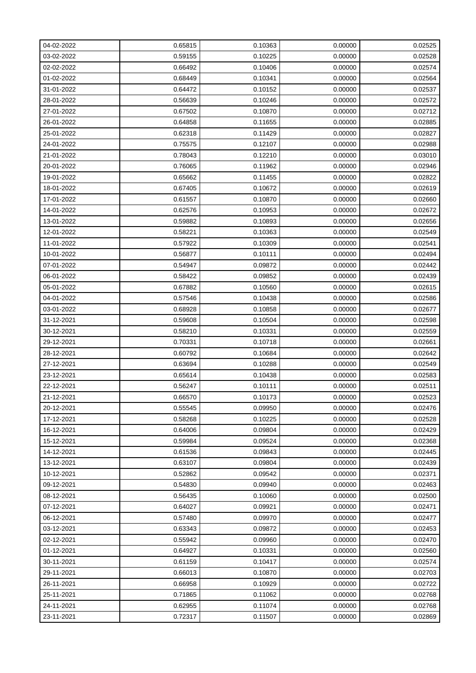| 04-02-2022 | 0.65815 | 0.10363 | 0.00000 | 0.02525 |
|------------|---------|---------|---------|---------|
| 03-02-2022 | 0.59155 | 0.10225 | 0.00000 | 0.02528 |
| 02-02-2022 | 0.66492 | 0.10406 | 0.00000 | 0.02574 |
| 01-02-2022 | 0.68449 | 0.10341 | 0.00000 | 0.02564 |
| 31-01-2022 | 0.64472 | 0.10152 | 0.00000 | 0.02537 |
| 28-01-2022 | 0.56639 | 0.10246 | 0.00000 | 0.02572 |
| 27-01-2022 | 0.67502 | 0.10870 | 0.00000 | 0.02712 |
| 26-01-2022 | 0.64858 | 0.11655 | 0.00000 | 0.02885 |
| 25-01-2022 | 0.62318 | 0.11429 | 0.00000 | 0.02827 |
| 24-01-2022 | 0.75575 | 0.12107 | 0.00000 | 0.02988 |
| 21-01-2022 | 0.78043 | 0.12210 | 0.00000 | 0.03010 |
| 20-01-2022 | 0.76065 | 0.11962 | 0.00000 | 0.02946 |
| 19-01-2022 | 0.65662 | 0.11455 | 0.00000 | 0.02822 |
| 18-01-2022 | 0.67405 | 0.10672 | 0.00000 | 0.02619 |
| 17-01-2022 | 0.61557 | 0.10870 | 0.00000 | 0.02660 |
| 14-01-2022 | 0.62576 | 0.10953 | 0.00000 | 0.02672 |
| 13-01-2022 | 0.59882 | 0.10893 | 0.00000 | 0.02656 |
| 12-01-2022 | 0.58221 | 0.10363 | 0.00000 | 0.02549 |
| 11-01-2022 | 0.57922 | 0.10309 | 0.00000 | 0.02541 |
| 10-01-2022 | 0.56877 | 0.10111 | 0.00000 | 0.02494 |
| 07-01-2022 | 0.54947 | 0.09872 | 0.00000 | 0.02442 |
| 06-01-2022 | 0.58422 | 0.09852 | 0.00000 | 0.02439 |
| 05-01-2022 | 0.67882 | 0.10560 | 0.00000 | 0.02615 |
| 04-01-2022 | 0.57546 | 0.10438 | 0.00000 | 0.02586 |
| 03-01-2022 | 0.68928 | 0.10858 | 0.00000 | 0.02677 |
| 31-12-2021 | 0.59608 | 0.10504 | 0.00000 | 0.02598 |
| 30-12-2021 | 0.58210 | 0.10331 | 0.00000 | 0.02559 |
| 29-12-2021 | 0.70331 | 0.10718 | 0.00000 | 0.02661 |
| 28-12-2021 | 0.60792 | 0.10684 | 0.00000 | 0.02642 |
| 27-12-2021 | 0.63694 | 0.10288 | 0.00000 | 0.02549 |
| 23-12-2021 | 0.65614 | 0.10438 | 0.00000 | 0.02583 |
| 22-12-2021 | 0.56247 | 0.10111 | 0.00000 | 0.02511 |
| 21-12-2021 | 0.66570 | 0.10173 | 0.00000 | 0.02523 |
| 20-12-2021 | 0.55545 | 0.09950 | 0.00000 | 0.02476 |
| 17-12-2021 | 0.58268 | 0.10225 | 0.00000 | 0.02528 |
| 16-12-2021 | 0.64006 | 0.09804 | 0.00000 | 0.02429 |
| 15-12-2021 | 0.59984 | 0.09524 | 0.00000 | 0.02368 |
| 14-12-2021 | 0.61536 | 0.09843 | 0.00000 | 0.02445 |
| 13-12-2021 | 0.63107 | 0.09804 | 0.00000 | 0.02439 |
| 10-12-2021 | 0.52862 | 0.09542 | 0.00000 | 0.02371 |
| 09-12-2021 | 0.54830 | 0.09940 | 0.00000 | 0.02463 |
| 08-12-2021 | 0.56435 | 0.10060 | 0.00000 | 0.02500 |
| 07-12-2021 | 0.64027 | 0.09921 | 0.00000 | 0.02471 |
| 06-12-2021 | 0.57480 | 0.09970 | 0.00000 | 0.02477 |
| 03-12-2021 | 0.63343 | 0.09872 | 0.00000 | 0.02453 |
| 02-12-2021 | 0.55942 | 0.09960 | 0.00000 | 0.02470 |
| 01-12-2021 | 0.64927 | 0.10331 | 0.00000 | 0.02560 |
| 30-11-2021 | 0.61159 | 0.10417 | 0.00000 | 0.02574 |
| 29-11-2021 | 0.66013 | 0.10870 | 0.00000 | 0.02703 |
| 26-11-2021 | 0.66958 | 0.10929 | 0.00000 | 0.02722 |
| 25-11-2021 | 0.71865 | 0.11062 | 0.00000 | 0.02768 |
| 24-11-2021 | 0.62955 | 0.11074 | 0.00000 | 0.02768 |
| 23-11-2021 | 0.72317 | 0.11507 | 0.00000 | 0.02869 |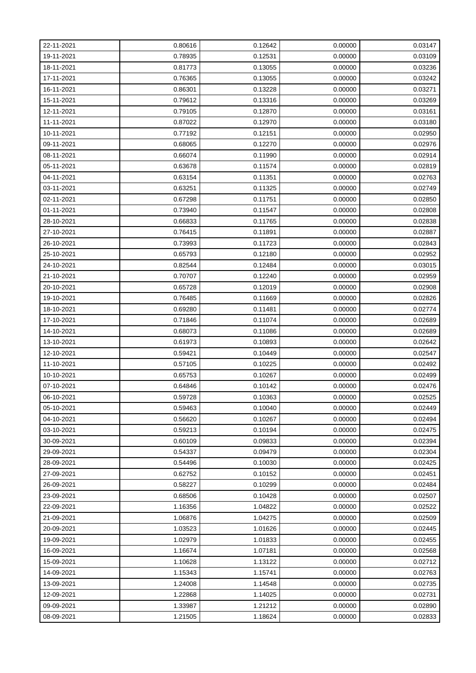| 22-11-2021 | 0.80616 | 0.12642 | 0.00000 | 0.03147 |
|------------|---------|---------|---------|---------|
| 19-11-2021 | 0.78935 | 0.12531 | 0.00000 | 0.03109 |
| 18-11-2021 | 0.81773 | 0.13055 | 0.00000 | 0.03236 |
| 17-11-2021 | 0.76365 | 0.13055 | 0.00000 | 0.03242 |
| 16-11-2021 | 0.86301 | 0.13228 | 0.00000 | 0.03271 |
| 15-11-2021 | 0.79612 | 0.13316 | 0.00000 | 0.03269 |
| 12-11-2021 | 0.79105 | 0.12870 | 0.00000 | 0.03161 |
| 11-11-2021 | 0.87022 | 0.12970 | 0.00000 | 0.03180 |
| 10-11-2021 | 0.77192 | 0.12151 | 0.00000 | 0.02950 |
| 09-11-2021 | 0.68065 | 0.12270 | 0.00000 | 0.02976 |
| 08-11-2021 | 0.66074 | 0.11990 | 0.00000 | 0.02914 |
| 05-11-2021 | 0.63678 | 0.11574 | 0.00000 | 0.02819 |
| 04-11-2021 | 0.63154 | 0.11351 | 0.00000 | 0.02763 |
| 03-11-2021 | 0.63251 | 0.11325 | 0.00000 | 0.02749 |
| 02-11-2021 | 0.67298 | 0.11751 | 0.00000 | 0.02850 |
| 01-11-2021 | 0.73940 | 0.11547 | 0.00000 | 0.02808 |
| 28-10-2021 | 0.66833 | 0.11765 | 0.00000 | 0.02838 |
| 27-10-2021 | 0.76415 | 0.11891 | 0.00000 | 0.02887 |
| 26-10-2021 | 0.73993 | 0.11723 | 0.00000 | 0.02843 |
| 25-10-2021 | 0.65793 | 0.12180 | 0.00000 | 0.02952 |
| 24-10-2021 | 0.82544 | 0.12484 | 0.00000 | 0.03015 |
| 21-10-2021 | 0.70707 | 0.12240 | 0.00000 | 0.02959 |
| 20-10-2021 | 0.65728 | 0.12019 | 0.00000 | 0.02908 |
| 19-10-2021 | 0.76485 | 0.11669 | 0.00000 | 0.02826 |
| 18-10-2021 | 0.69280 | 0.11481 | 0.00000 | 0.02774 |
| 17-10-2021 | 0.71846 | 0.11074 | 0.00000 | 0.02689 |
| 14-10-2021 | 0.68073 | 0.11086 | 0.00000 | 0.02689 |
| 13-10-2021 | 0.61973 | 0.10893 | 0.00000 | 0.02642 |
| 12-10-2021 | 0.59421 | 0.10449 | 0.00000 | 0.02547 |
| 11-10-2021 | 0.57105 | 0.10225 | 0.00000 | 0.02492 |
| 10-10-2021 | 0.65753 | 0.10267 | 0.00000 | 0.02499 |
| 07-10-2021 | 0.64846 | 0.10142 | 0.00000 | 0.02476 |
| 06-10-2021 | 0.59728 | 0.10363 | 0.00000 | 0.02525 |
| 05-10-2021 | 0.59463 | 0.10040 | 0.00000 | 0.02449 |
| 04-10-2021 | 0.56620 | 0.10267 | 0.00000 | 0.02494 |
| 03-10-2021 | 0.59213 | 0.10194 | 0.00000 | 0.02475 |
| 30-09-2021 | 0.60109 | 0.09833 | 0.00000 | 0.02394 |
| 29-09-2021 | 0.54337 | 0.09479 | 0.00000 | 0.02304 |
| 28-09-2021 | 0.54496 | 0.10030 | 0.00000 | 0.02425 |
| 27-09-2021 | 0.62752 | 0.10152 | 0.00000 | 0.02451 |
| 26-09-2021 | 0.58227 | 0.10299 | 0.00000 | 0.02484 |
| 23-09-2021 | 0.68506 | 0.10428 | 0.00000 | 0.02507 |
| 22-09-2021 | 1.16356 | 1.04822 | 0.00000 | 0.02522 |
| 21-09-2021 | 1.06876 | 1.04275 | 0.00000 | 0.02509 |
| 20-09-2021 | 1.03523 | 1.01626 | 0.00000 | 0.02445 |
| 19-09-2021 | 1.02979 | 1.01833 | 0.00000 | 0.02455 |
| 16-09-2021 | 1.16674 | 1.07181 | 0.00000 | 0.02568 |
| 15-09-2021 | 1.10628 | 1.13122 | 0.00000 | 0.02712 |
| 14-09-2021 | 1.15343 | 1.15741 | 0.00000 | 0.02763 |
| 13-09-2021 | 1.24008 | 1.14548 | 0.00000 | 0.02735 |
| 12-09-2021 | 1.22868 | 1.14025 | 0.00000 | 0.02731 |
| 09-09-2021 | 1.33987 | 1.21212 | 0.00000 | 0.02890 |
| 08-09-2021 | 1.21505 | 1.18624 | 0.00000 | 0.02833 |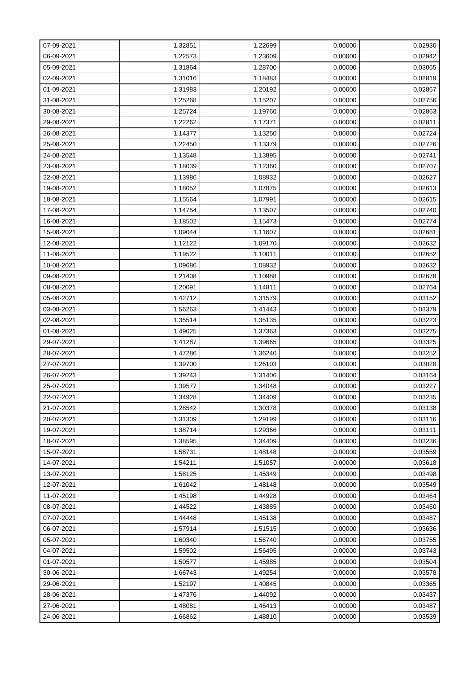| 07-09-2021 | 1.32851 | 1.22699 | 0.00000 | 0.02930 |
|------------|---------|---------|---------|---------|
| 06-09-2021 | 1.22573 | 1.23609 | 0.00000 | 0.02942 |
| 05-09-2021 | 1.31864 | 1.28700 | 0.00000 | 0.03065 |
| 02-09-2021 | 1.31016 | 1.18483 | 0.00000 | 0.02819 |
| 01-09-2021 | 1.31983 | 1.20192 | 0.00000 | 0.02867 |
| 31-08-2021 | 1.25268 | 1.15207 | 0.00000 | 0.02756 |
| 30-08-2021 | 1.25724 | 1.19760 | 0.00000 | 0.02863 |
| 29-08-2021 | 1.22262 | 1.17371 | 0.00000 | 0.02811 |
| 26-08-2021 | 1.14377 | 1.13250 | 0.00000 | 0.02724 |
| 25-08-2021 | 1.22450 | 1.13379 | 0.00000 | 0.02726 |
| 24-08-2021 | 1.13548 | 1.13895 | 0.00000 | 0.02741 |
| 23-08-2021 | 1.18039 | 1.12360 | 0.00000 | 0.02707 |
| 22-08-2021 | 1.13986 | 1.08932 | 0.00000 | 0.02627 |
| 19-08-2021 | 1.18052 | 1.07875 | 0.00000 | 0.02613 |
| 18-08-2021 | 1.15564 | 1.07991 | 0.00000 | 0.02615 |
| 17-08-2021 | 1.14754 | 1.13507 | 0.00000 | 0.02740 |
| 16-08-2021 | 1.18502 | 1.15473 | 0.00000 | 0.02774 |
| 15-08-2021 | 1.09044 | 1.11607 | 0.00000 | 0.02681 |
| 12-08-2021 | 1.12122 | 1.09170 | 0.00000 | 0.02632 |
| 11-08-2021 | 1.19522 | 1.10011 | 0.00000 | 0.02652 |
| 10-08-2021 | 1.09686 | 1.08932 | 0.00000 | 0.02632 |
| 09-08-2021 | 1.21408 | 1.10988 | 0.00000 | 0.02678 |
| 08-08-2021 | 1.20091 | 1.14811 | 0.00000 | 0.02764 |
| 05-08-2021 | 1.42712 | 1.31579 | 0.00000 | 0.03152 |
| 03-08-2021 | 1.56263 | 1.41443 | 0.00000 | 0.03379 |
| 02-08-2021 | 1.35514 | 1.35135 | 0.00000 | 0.03223 |
| 01-08-2021 | 1.49025 | 1.37363 | 0.00000 | 0.03275 |
| 29-07-2021 | 1.41287 | 1.39665 | 0.00000 | 0.03325 |
| 28-07-2021 | 1.47286 | 1.36240 | 0.00000 | 0.03252 |
| 27-07-2021 | 1.39700 | 1.26103 | 0.00000 | 0.03028 |
| 26-07-2021 | 1.39243 | 1.31406 | 0.00000 | 0.03164 |
| 25-07-2021 | 1.39577 | 1.34048 | 0.00000 | 0.03227 |
| 22-07-2021 | 1.34928 | 1.34409 | 0.00000 | 0.03235 |
| 21-07-2021 | 1.28542 | 1.30378 | 0.00000 | 0.03138 |
| 20-07-2021 | 1.31309 | 1.29199 | 0.00000 | 0.03116 |
| 19-07-2021 | 1.38714 | 1.29366 | 0.00000 | 0.03111 |
| 18-07-2021 | 1.38595 | 1.34409 | 0.00000 | 0.03236 |
| 15-07-2021 | 1.58731 | 1.48148 | 0.00000 | 0.03559 |
| 14-07-2021 | 1.54211 | 1.51057 | 0.00000 | 0.03618 |
| 13-07-2021 | 1.58125 | 1.45349 | 0.00000 | 0.03498 |
| 12-07-2021 | 1.61042 | 1.48148 | 0.00000 | 0.03549 |
| 11-07-2021 | 1.45198 | 1.44928 | 0.00000 | 0.03464 |
| 08-07-2021 | 1.44522 | 1.43885 | 0.00000 | 0.03450 |
| 07-07-2021 | 1.44448 | 1.45138 | 0.00000 | 0.03487 |
| 06-07-2021 | 1.57914 | 1.51515 | 0.00000 | 0.03636 |
| 05-07-2021 | 1.60340 | 1.56740 | 0.00000 | 0.03755 |
| 04-07-2021 | 1.59502 | 1.56495 | 0.00000 | 0.03743 |
| 01-07-2021 | 1.50577 | 1.45985 | 0.00000 | 0.03504 |
| 30-06-2021 | 1.66743 | 1.49254 | 0.00000 | 0.03578 |
| 29-06-2021 | 1.52197 | 1.40845 | 0.00000 | 0.03365 |
| 28-06-2021 | 1.47376 | 1.44092 | 0.00000 | 0.03437 |
| 27-06-2021 | 1.48081 | 1.46413 | 0.00000 | 0.03487 |
| 24-06-2021 | 1.66862 | 1.48810 | 0.00000 | 0.03539 |